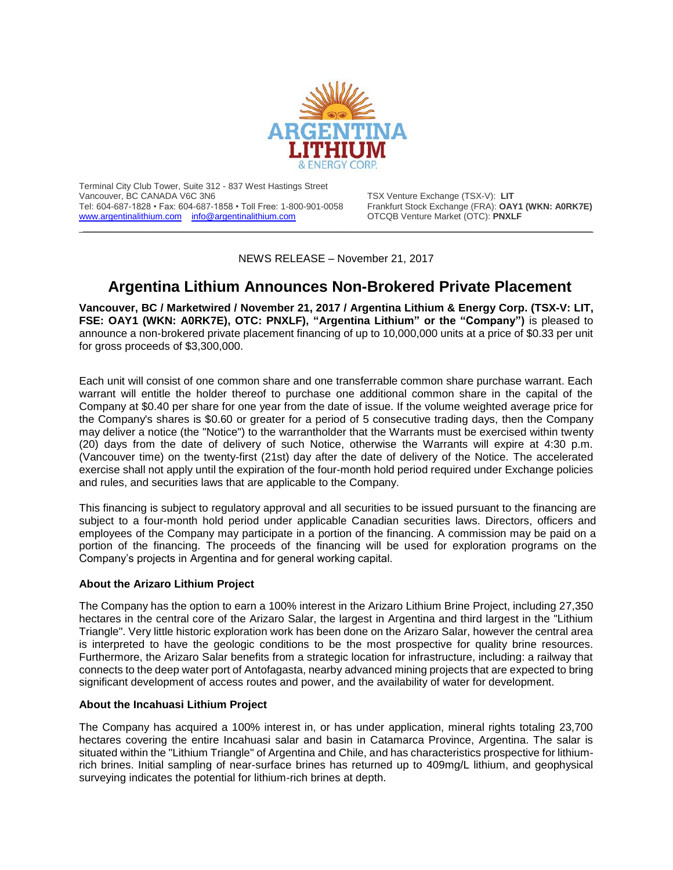

Terminal City Club Tower, Suite 312 - 837 West Hastings Street Tel: 604-687-1828 • Fax: 604-687-1858 • Toll Free: 1-800-901-0058 [www.argentinalithium.com](http://www.argentinalithium.com/) [info@argentinalithium.com](mailto:info@argentinalithium.com) OTCQB Venture Market (OTC): **PNXLF** 

TSX Venture Exchange (TSX-V): LIT<br>Frankfurt Stock Exchange (FRA): **OAY1 (WKN: A0RK7E)** 

NEWS RELEASE – November 21, 2017

\_\_\_\_\_\_\_\_\_\_\_\_\_\_\_\_\_\_\_\_\_\_\_\_\_\_\_\_\_\_\_\_\_\_\_\_\_\_\_\_\_\_\_\_\_\_\_\_\_\_\_\_\_\_\_\_\_\_\_\_\_\_\_\_\_\_\_\_\_\_\_\_\_\_\_\_\_\_\_\_\_\_\_\_\_\_\_\_\_\_\_\_

## **Argentina Lithium Announces Non-Brokered Private Placement**

**Vancouver, BC / Marketwired / November 21, 2017 / Argentina Lithium & Energy Corp. (TSX-V: LIT, FSE: OAY1 (WKN: A0RK7E), OTC: PNXLF), "Argentina Lithium" or the "Company")** is pleased to announce a non-brokered private placement financing of up to 10,000,000 units at a price of \$0.33 per unit for gross proceeds of \$3,300,000.

Each unit will consist of one common share and one transferrable common share purchase warrant. Each warrant will entitle the holder thereof to purchase one additional common share in the capital of the Company at \$0.40 per share for one year from the date of issue. If the volume weighted average price for the Company's shares is \$0.60 or greater for a period of 5 consecutive trading days, then the Company may deliver a notice (the "Notice") to the warrantholder that the Warrants must be exercised within twenty (20) days from the date of delivery of such Notice, otherwise the Warrants will expire at 4:30 p.m. (Vancouver time) on the twenty-first (21st) day after the date of delivery of the Notice. The accelerated exercise shall not apply until the expiration of the four-month hold period required under Exchange policies and rules, and securities laws that are applicable to the Company.

This financing is subject to regulatory approval and all securities to be issued pursuant to the financing are subject to a four-month hold period under applicable Canadian securities laws. Directors, officers and employees of the Company may participate in a portion of the financing. A commission may be paid on a portion of the financing. The proceeds of the financing will be used for exploration programs on the Company's projects in Argentina and for general working capital.

## **About the Arizaro Lithium Project**

The Company has the option to earn a 100% interest in the Arizaro Lithium Brine Project, including 27,350 hectares in the central core of the Arizaro Salar, the largest in Argentina and third largest in the "Lithium Triangle". Very little historic exploration work has been done on the Arizaro Salar, however the central area is interpreted to have the geologic conditions to be the most prospective for quality brine resources. Furthermore, the Arizaro Salar benefits from a strategic location for infrastructure, including: a railway that connects to the deep water port of Antofagasta, nearby advanced mining projects that are expected to bring significant development of access routes and power, and the availability of water for development.

## **About the Incahuasi Lithium Project**

The Company has acquired a 100% interest in, or has under application, mineral rights totaling 23,700 hectares covering the entire Incahuasi salar and basin in Catamarca Province, Argentina. The salar is situated within the "Lithium Triangle" of Argentina and Chile, and has characteristics prospective for lithiumrich brines. Initial sampling of near-surface brines has returned up to 409mg/L lithium, and geophysical surveying indicates the potential for lithium-rich brines at depth.